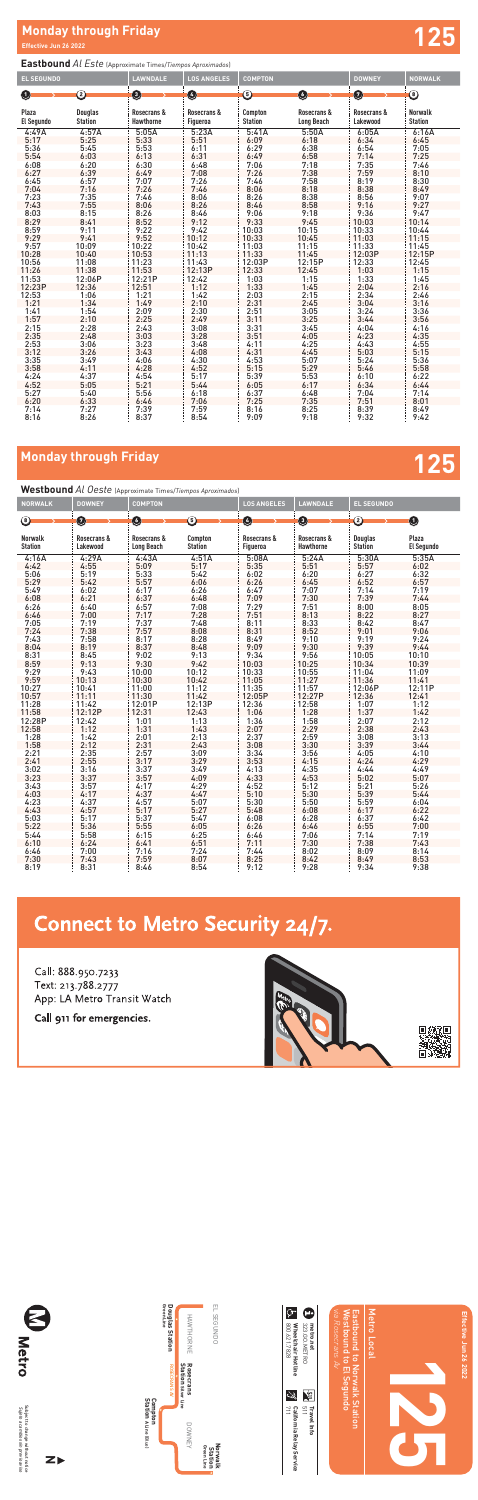## **Monday through Friday 125**

# **Monday through Friday and Security Conduct of the Security Conduct of the Security Conduct of the Security Conduct of the Security Conduct of the Security Conduct of the Security Conduct of the Security Conduct of the Sec**

### **Eastbound** *Al Este* (Approximate Times/*Tiempos Aproximados*)

### **Westbound** *Al Oeste* (Approximate Times/*Tiempos Aproximados*) **NORWALK DOWNEY COMPTON LOS ANGELES LAWNDALE EL SEGUNDO Norwalk Station Rosecrans & Lakewood Rosecrans & Long Beach Compton Station Rosecrans & Figueroa Rosecrans & Hawthorne Douglas Station Plaza El Segundo** 4:16A 4:29A 4:43A 4:51A 5:08A 5:24A 5:30A 5:35A 4:42 4:55 5:09 5:17 5:35 5:51 5:57 6:02 5:06 5:19 5:33 5:42 6:02 6:20 6:27 6:32 5:29 5:42 5:57 6:06 6:26 6:45 6:52 6:57 5:49 6:02 6:17 6:26 6:47 7:07 7:14 7:19 6:08 6:21 6:37 6:48 7:09 7:30 7:39 7:44 6:26 6:40 6:57 7:08 7:29 7:51 8:00 8:05 6:46 7:00 7:17 7:28 7:51 8:13 8:22 8:27 7:05 7:19 7:37 7:48 8:11 8:33 8:42 8:47 7:24 7:38 7:57 8:08 8:31 8:52 9:01 9:06 7:43 7:58 8:17 8:28 8:49 9:10 9:19 9:24 8:04 8:19 8:37 8:48 9:09 9:30 9:39 9:44 8:31 8:45 9:02 9:13 9:34 9:56 10:05 10:10 8:59 9:13 9:30 9:42 10:03 10:25 10:34 10:39 9:29 9:43 10:00 10:12 10:33 10:55 11:04 11:09 9:59 10:13 10:30 10:42 11:05 11:27 11:36 11:41 10:27 10:41 11:00 11:12 11:35 11:57 12:06P 12:11P 10:57 11:11 11:30 11:42 12:05P 12:27P 12:36 12:41 11:28 11:42 12:01P 12:13P 12:36 12:58 1:07 1:12 11:58 12:12P 12:31 12:43 1:06 1:28 1:37 1:42 12:28P 12:42 1:01 1:13 1:36 1:58 2:07 2:12 12:58 1:12 1:31 1:43 2:07 2:29 2:38 2:43 1:28 1:42 2:01 2:13 2:37 2:59 3:08 3:13 1:58 2:12 2:31 2:43 3:08 3:30 3:39 3:44 2:21 2:35 2:57 3:09 3:34 3:56 4:05 4:10 2:41 2:55 3:17 3:29 3:53 4:15 4:24 4:29 3:02 3:16 3:37 3:49 4:13 4:35 4:44 4:49 3:23 3:37 3:57 4:09 4:33 4:53 5:02 5:07 3:43 3:57 4:17 4:29 4:52 5:12 5:21 5:26 4:03 4:17 4:37 4:47 5:10 5:30 5:39 5:44 4:23 4:37 4:57 5:07 5:30 5:50 5:59 6:04 4:43 4:57 5:17 5:27 5:48 6:08 6:17 6:22 5:03 5:17 5:37 5:47 6:08 6:28 6:37 6:42 5:22 5:36 5:55 6:05 6:26 6:46 6:55 7:00 5:44 5:58 6:15 6:25 6:46 7:06 7:14 7:19 6:10 6:24 6:41 6:51 7:11 7:30 7:38 7:43 6:46 7:00 7:16 7:24 7:44 8:02 8:09 8:14 8 <del>7 6 7 8 9 1 3 2 3 3 4 5 7 8 9 1 4 3 2 4 5 7 8 9 10</del>

| <b>EL SEGUNDO</b>   |                                  | <b>LAWNDALE</b>                 | <b>LOS ANGELES</b>      | <b>COMPTON</b>            |                                  | <b>DOWNEY</b>           | <b>NORWALK</b>                   |
|---------------------|----------------------------------|---------------------------------|-------------------------|---------------------------|----------------------------------|-------------------------|----------------------------------|
| O                   | ②                                | O                               | Ø                       | ⑤                         | O                                | Ø                       | ◉                                |
|                     |                                  |                                 |                         |                           |                                  |                         |                                  |
| Plaza<br>El Segundo | <b>Douglas</b><br><b>Station</b> | Rosecrans &<br><b>Hawthorne</b> | Rosecrans &<br>Figueroa | Compton<br><b>Station</b> | Rosecrans &<br><b>Long Beach</b> | Rosecrans &<br>Lakewood | <b>Norwalk</b><br><b>Station</b> |
| 4:49A               | 4:57A                            | 5:05A                           | 5:23A                   | 5:41A                     | 5:50A                            | 6:05A                   | 6:16A                            |
| 5:17                | 5:25                             | 5:33                            | 5:51                    | 6:09                      | 6:18                             | 6:34                    | 6:45                             |
| 5:36                | 5:45                             | 5:53                            | 6:11                    | 6:29                      | 6:38                             | 6:54                    | 7:05                             |
| 5:54                | 6:03                             | 6:13                            | 6:31                    | 6:49                      | 6:58                             | 7:14                    | 7:25                             |
| 6:08                | 6:20                             | 6:30                            | 6:48                    | 7:06                      | 7:18                             | 7:35                    | 7:46                             |
| 6:27                | 6:39                             | 6:49                            | 7:08                    | 7:26                      | 7:38                             | 7:59                    | 8:10                             |
| 6:45                | 6:57                             | 7:07                            | 7:26                    | 7:46                      | 7:58                             | 8:19                    | 8:30                             |
| 7:04                | 7:16                             | 7:26                            | 7:46                    | 8:06                      | 8:18                             | 8:38                    | 8:49                             |
| 7:23                | 7:35                             | 7:46                            | 8:06                    | 8:26                      | 8:38                             | 8:56                    | 9:07                             |
| 7:43                | 7:55                             | 8:06                            | 8:26                    | 8:46                      | 8:58                             | 9:16                    | 9:27                             |
| 8:03                | 8:15                             | 8:26                            | 8:46                    | 9:06                      | 9:18                             | 9:36                    | 9:47                             |
| 8:29                | 8:41                             | 8:52                            | 9:12                    | 9:33                      | 9:45                             | 10:03                   | 10:14                            |
| 8:59                | 9:11                             | 9:22                            | 9:42                    | 10:03                     | 10:15                            | 10:33                   | 10:44                            |
| 9:29                | 9:41                             | 9:52                            | 10:12                   | 10:33                     | 10:45                            | 11:03                   | 11:15                            |
| 9:57                | 10:09                            | 10:22                           | 10:42                   | 11:03                     | 11:15                            | 11:33                   | 11:45                            |
| 10:28               | 10:40                            | 10:53                           | 11:13                   | 11:33                     | 11:45                            | 12:03P                  | 12:15P                           |
| 10:56               | 11:08                            | 11:23                           | 11:43                   | 12:03P                    | 12:15P                           | 12:33                   | 12:45                            |
| 11:26               | 11:38                            | 11:53                           | 12:13P                  | 12:33                     | 12:45                            | 1:03                    | 1:15                             |
| 11:53               | 12:06P                           | 12:21P                          | 12:42                   | 1:03                      | 1:15                             | 1:33                    | 1:45                             |
| 12:23P              | 12:36                            | 12:51                           | 1:12                    | 1:33                      | 1:45                             | 2:04                    | 2:16                             |
| 12:53               | 1:06                             | 1:21                            | 1:42                    | 2:03                      | 2:15                             | 2:34                    | 2:46                             |
| 1:21                | 1:34                             | 1:49                            | 2:10                    | 2:31                      | 2:45                             | 3:04                    | 3:16                             |
| 1:41                | 1:54                             | 2:09                            | 2:30                    | 2:51                      | 3:05                             | 3:24                    | 3:36                             |
| 1:57                | 2:10                             | 2:25                            | 2:49                    | 3:11                      | 3:25                             | 3:44                    | 3:56                             |
| 2:15                | 2:28                             | 2:43                            | 3:08                    | 3:31                      | 3:45                             | 4:04                    | 4:16                             |
| 2:35                | 2:48                             | 3:03                            | 3:28                    | 3:51                      | 4:05                             | 4:23                    | 4:35                             |
| 2:53                | 3:06                             | 3:23                            | 3:48                    | 4:11                      | 4:25                             | 4:43                    | 4:55                             |
| 3:12                | 3:26                             | 3:43                            | 4:08                    | 4:31                      | 4:45                             | 5:03                    | 5:15                             |
| 3:35                | 3:49                             | 4:06                            | 4:30                    | 4:53                      | 5:07                             | 5:24                    | 5:36                             |
| 3:58                | 4:11                             | 4:28                            | 4:52                    | 5:15                      | 5:29                             | 5:46                    | 5:58                             |
| 4:24                | 4:37                             | 4:54                            | 5:17                    | 5:39                      | 5:53                             | 6:10                    | 6:22                             |
| 4:52                | 5:05                             | 5:21                            | 5:44                    | 6:05                      | 6:17                             | 6:34                    | 6:44                             |
| 5:27                | 5:40                             | 5:56                            | 6:18                    | 6:37                      | 6:48                             | 7:04                    | 7:14                             |
| 6:20                | 6:33                             | 6:46                            | 7:06                    | 7:25                      | 7:35                             | 7:51                    | 8:01                             |
| 7:14                | 7:27                             | 7:39                            | 7:59                    | 8:16                      | 8:25                             | 8:39                    | 8:49                             |
| 8:16                | 8:26                             | 8:37                            | 8:54                    | 9:09                      | 9:18                             | 9:32                    | 9:42                             |

|      | 1.00 | 1.10 |      | 1.44 |      | <b>.v</b> | <b></b> |
|------|------|------|------|------|------|-----------|---------|
| 7:30 | 7:43 | 7:59 | 8:07 | 8:25 | 8:42 | 8:49      | 8:53    |
| 8:19 | 8:31 | 8:46 | 8:54 | 9:12 | 9:28 | 9:34      | 9:38    |

# **Connect to Metro Security 24/7.**

Call: 888.950.7233 Text: 213.788.2777 App: LA Metro Transit Watch

Call 911 for emergencies.









Subject to change without notice *Sujeto a cambios sin previo aviso*

Subject to change without notice<br>Sujeto a cambios sin previo aviso

**N**